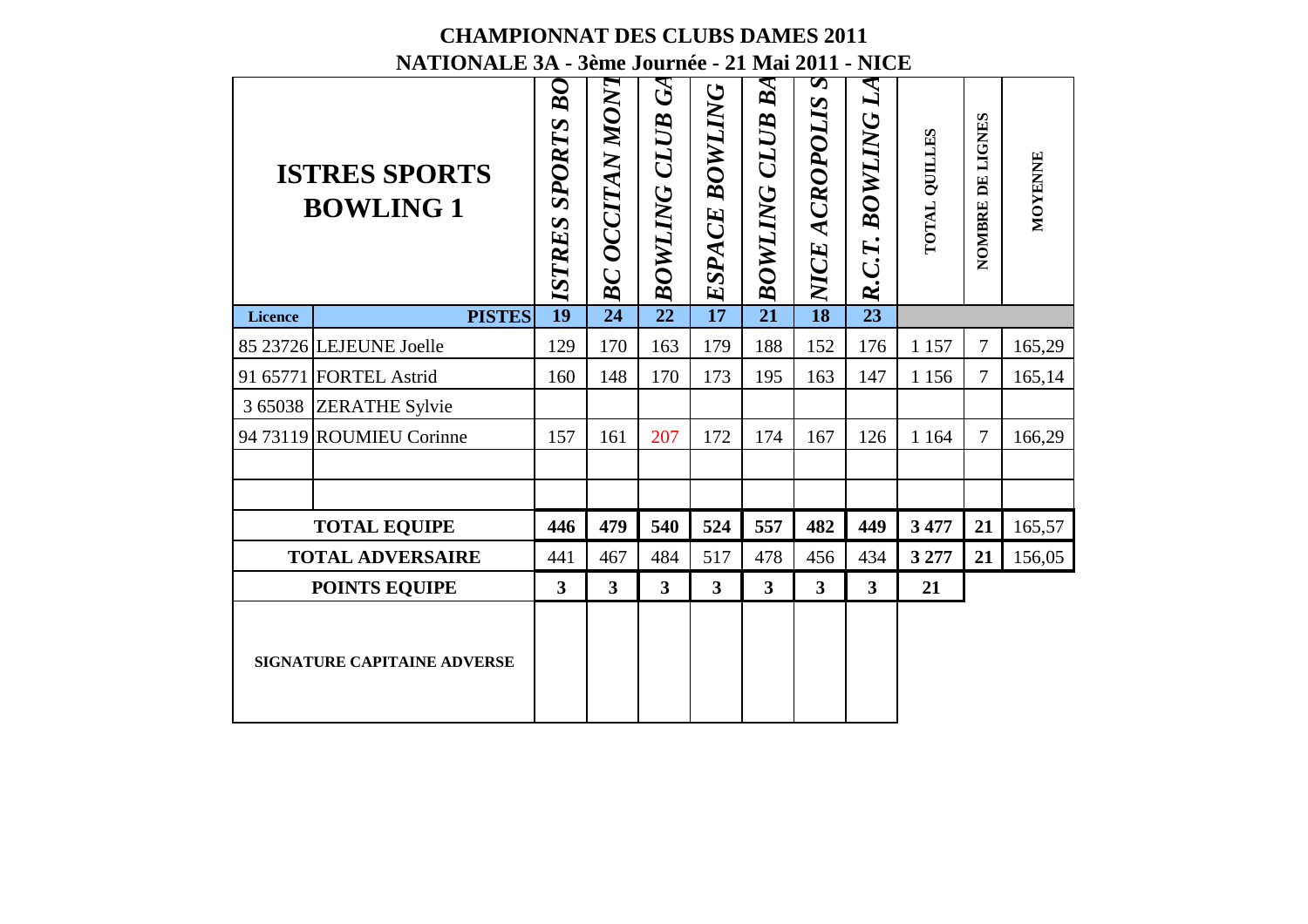#### **CHAMPIONNAT DES CLUBS DAMES 2011NATIONALE 3A - 3ème Journée - 21 Mai 2011 - NICE**

|             | <b>CHAMPIONNAT DES CLUBS DAMES 2011</b><br>NATIONALE 3A - 3ème Journée - 21 Mai 2011 - NICE | ${\cal B}O$             |                 | $\mathcal{G}$           | BOWLING                 | BA                      | S                       | $\bm{L}$ A               |                      |                  |         |
|-------------|---------------------------------------------------------------------------------------------|-------------------------|-----------------|-------------------------|-------------------------|-------------------------|-------------------------|--------------------------|----------------------|------------------|---------|
|             | <b>ISTRES SPORTS</b><br><b>BOWLING 1</b>                                                    | ISTRES SPORTS           | BC OCCITAN MONT | <b>BOWLING CLUB</b>     | ESPACE                  | <b>BOWLING CLUB</b>     | NICE ACROPOLIS          | <b>BOWLING</b><br>R.C.T. | <b>POTAL QUILLES</b> | NOMBRE DE LIGNES | MOYENNE |
| Licence     | <b>PISTES</b>                                                                               | $\overline{19}$         | $\overline{24}$ | $\overline{22}$         | $\overline{17}$         | $\overline{21}$         | $\overline{18}$         | $\overline{23}$          |                      |                  |         |
|             | 85 23726 LEJEUNE Joelle                                                                     | 129                     | 170             | 163                     | 179                     | 188                     | 152                     | 176                      | 1 1 5 7              | $\tau$           | 165,29  |
|             | 91 65771 FORTEL Astrid                                                                      | 160                     | 148             | 170                     | 173                     | 195                     | 163                     | 147                      | 1 1 5 6              | $\overline{7}$   | 165,14  |
| 3 6 5 0 3 8 | <b>ZERATHE Sylvie</b>                                                                       |                         |                 |                         |                         |                         |                         |                          |                      |                  |         |
|             | 94 73119 ROUMIEU Corinne                                                                    | 157                     | 161             | 207                     | 172                     | 174                     | 167                     | 126                      | 1 1 6 4              | $\overline{7}$   | 166,29  |
|             | <b>TOTAL EQUIPE</b>                                                                         | 446                     | 479             | 540                     | 524                     | 557                     | 482                     | 449                      | 3 477                | 21               | 165,57  |
|             | <b>TOTAL ADVERSAIRE</b>                                                                     | 441                     | 467             | 484                     | 517                     | 478                     | 456                     | 434                      | 3 277                | 21               | 156,05  |
|             | <b>POINTS EQUIPE</b>                                                                        | $\overline{\mathbf{3}}$ | 3               | $\overline{\mathbf{3}}$ | $\overline{\mathbf{3}}$ | $\overline{\mathbf{3}}$ | $\overline{\mathbf{3}}$ | $\overline{\mathbf{3}}$  | 21                   |                  |         |
|             | <b>SIGNATURE CAPITAINE ADVERSE</b>                                                          |                         |                 |                         |                         |                         |                         |                          |                      |                  |         |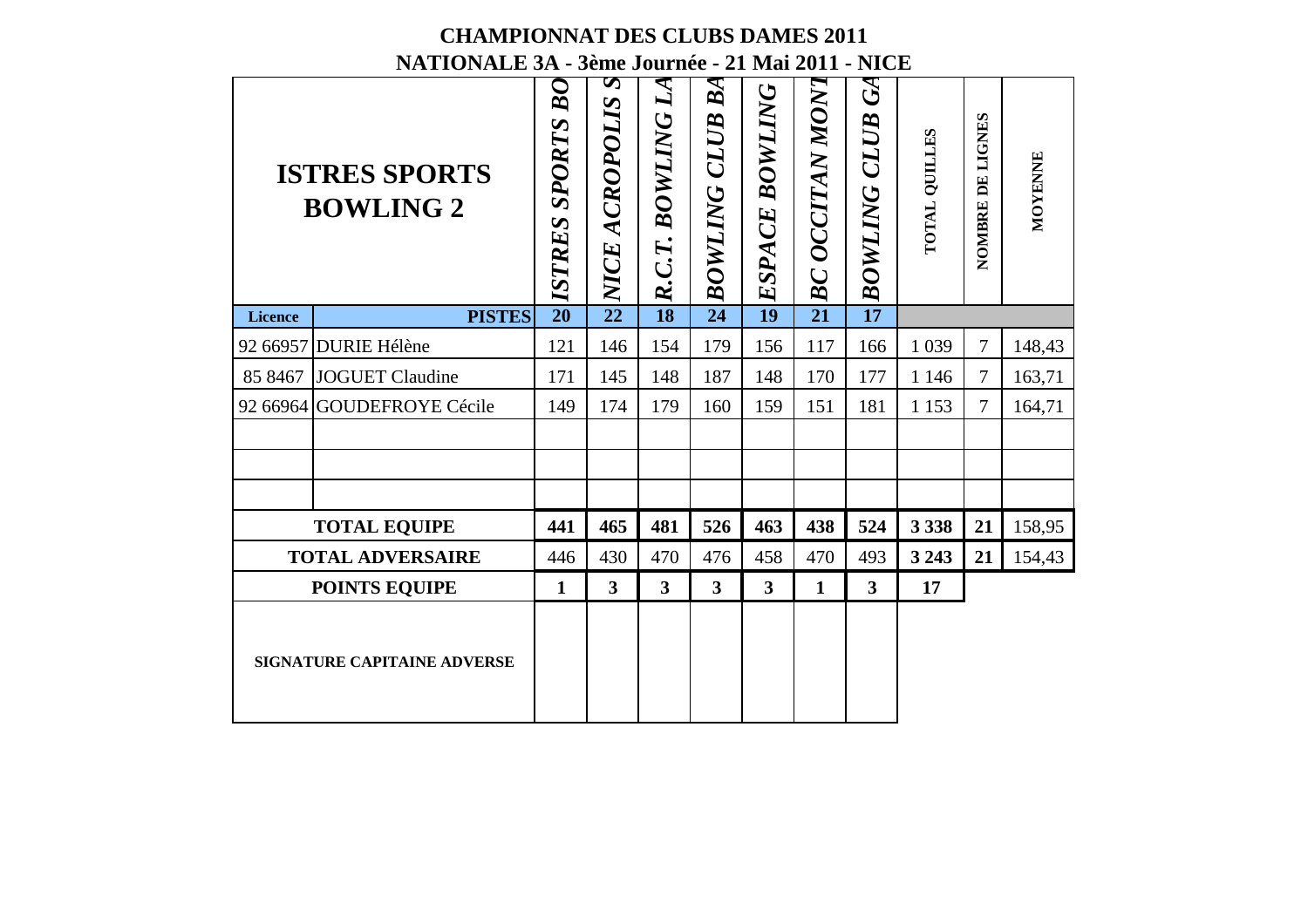#### **CHAMPIONNAT DES CLUBS DAMES 2011NATIONALE 3A - 3ème Journée - 21 Mai 2011 - NICE**

|          | <b>CHAMPIONNAT DES CLUBS DAMES 2011</b><br>NATIONALE 3A - 3ème Journée - 21 Mai 2011 - NICE |                                               |                            |                                 |                                    |                 |                 |                                      |                      |                  |         |
|----------|---------------------------------------------------------------------------------------------|-----------------------------------------------|----------------------------|---------------------------------|------------------------------------|-----------------|-----------------|--------------------------------------|----------------------|------------------|---------|
|          | <b>ISTRES SPORTS</b><br><b>BOWLING 2</b>                                                    | ${\cal B}O$<br><b>SPORTS</b><br><b>ISTRES</b> | S<br><b>ENCE ACROPOLIS</b> | $\mathcal{L}$<br>R.C.T. BOWLING | ${\bm B}$ A<br><b>BOWLING CLUB</b> | ESPACE BOWLING  | BC OCCITAN MONT | $\mathcal{G}$<br><b>BOWLING CLUB</b> | <b>TOTAL QUILLES</b> | NOMBRE DE LIGNES | MOYENNE |
| Licence  | <b>PISTES</b>                                                                               | $\overline{20}$                               |                            | $\overline{18}$                 | $\overline{24}$                    | $\overline{19}$ | $\overline{21}$ | $\overline{17}$                      |                      |                  |         |
|          | 92 66957 DURIE Hélène                                                                       | 121                                           | 146                        | 154                             | 179                                | 156             | 117             | 166                                  | 1 0 39               | 7                | 148,43  |
| 85 8467  | <b>JOGUET Claudine</b>                                                                      | 171                                           | 145                        | 148                             | 187                                | 148             | 170             | 177                                  | 1 1 4 6              | 7                | 163,71  |
| 92 66964 | <b>GOUDEFROYE Cécile</b>                                                                    | 149                                           | 174                        | 179                             | 160                                | 159             | 151             | 181                                  | 1 1 5 3              | 7                | 164,71  |
|          |                                                                                             |                                               |                            |                                 |                                    |                 |                 |                                      |                      |                  |         |
|          | <b>TOTAL EQUIPE</b>                                                                         | 441                                           | 465                        | 481                             | 526                                | 463             | 438             | 524                                  | 3 3 3 8              | 21               | 158,95  |
|          | <b>TOTAL ADVERSAIRE</b>                                                                     | 446                                           | 430                        | 470                             | 476                                | 458             | 470             | 493                                  | 3 2 4 3              | 21               | 154,43  |
|          | <b>POINTS EQUIPE</b>                                                                        | 1                                             | $\overline{\mathbf{3}}$    | $\overline{\mathbf{3}}$         | $\overline{\mathbf{3}}$            | 3               | 1               | 3                                    | 17                   |                  |         |
|          | <b>SIGNATURE CAPITAINE ADVERSE</b>                                                          |                                               |                            |                                 |                                    |                 |                 |                                      |                      |                  |         |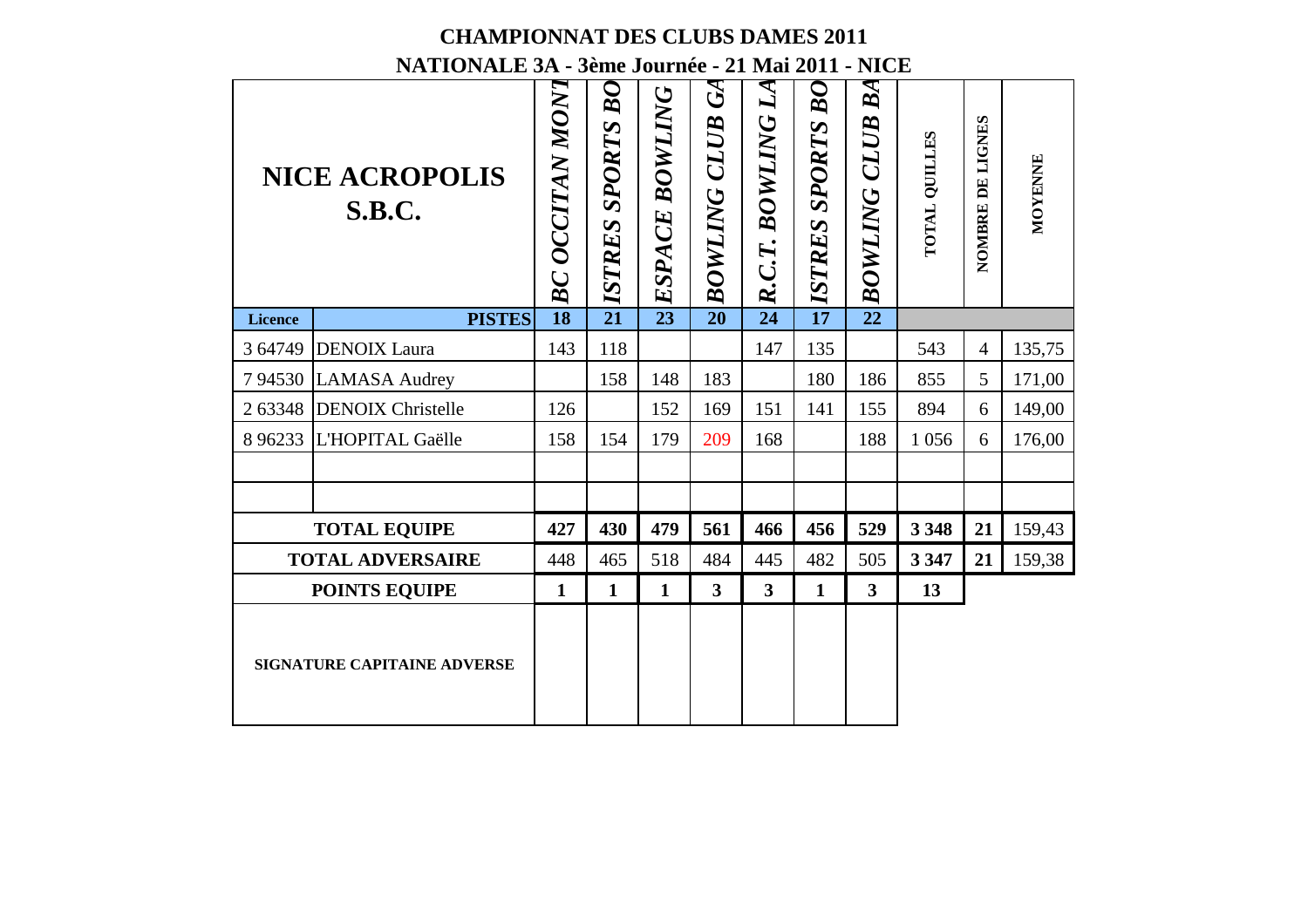|                | <b>CHAMPIONNAT DES CLUBS DAMES 2011</b><br>NATIONALE 3A - 3ème Journée - 21 Mai 2011 - NICE<br><b>NICE ACROPOLIS</b> |                 |                         |                       | $\mathcal{G}% _{M_{1},M_{2}}^{\ast}(\mathcal{M}_{M_{1},M_{2}}^{\ast},\mathcal{M}_{M_{1},M_{2}}^{\ast}(\mathcal{M}_{M_{1},M_{2}}^{\ast},\mathcal{M}_{M_{1},M_{2}}^{\ast}(\mathcal{M}_{M_{1},M_{2}}^{\ast},\mathcal{M}_{M_{1},M_{2}}^{\ast}(\mathcal{M}_{M_{1},M_{2}}^{\ast},\mathcal{M}_{M_{1},M_{2}}^{\ast}(\mathcal{M}_{M_{1},M_{2}}^{\ast},\mathcal{M}_{M_{1},M_{2}}^{\ast}(\mathcal{M}_{M_{1},M_{1},M_{2}}^{\$ | $L$ A                   | BO           | BA                  |               |                  |         |
|----------------|----------------------------------------------------------------------------------------------------------------------|-----------------|-------------------------|-----------------------|-------------------------------------------------------------------------------------------------------------------------------------------------------------------------------------------------------------------------------------------------------------------------------------------------------------------------------------------------------------------------------------------------------------------|-------------------------|--------------|---------------------|---------------|------------------|---------|
|                | <b>S.B.C.</b>                                                                                                        | BC OCCITAN MONT | <b>ISTRES SPORTS BO</b> | <b>ESPACE BOWLING</b> | <b>BOWLING CLUB</b>                                                                                                                                                                                                                                                                                                                                                                                               | R.C.T. BOWLING          | STRES SPORTS | <b>BOWLING CLUB</b> | TOTAL QUILLES | NOMBRE DE LIGNES | MOYENNE |
| <b>Licence</b> | <b>PISTES</b>                                                                                                        | $\overline{18}$ | $\overline{21}$         |                       | $\overline{20}$                                                                                                                                                                                                                                                                                                                                                                                                   | $\overline{24}$         |              | $\overline{22}$     |               |                  |         |
| 3 64749        | <b>DENOIX</b> Laura                                                                                                  | 143             | 118                     |                       |                                                                                                                                                                                                                                                                                                                                                                                                                   | 147                     | 135          |                     | 543           | $\overline{4}$   | 135,75  |
| 794530         | <b>LAMASA Audrey</b>                                                                                                 |                 | 158                     | 148                   | 183                                                                                                                                                                                                                                                                                                                                                                                                               |                         | 180          | 186                 | 855           | 5                | 171,00  |
| 2 63348        | <b>DENOIX Christelle</b>                                                                                             | 126             |                         | 152                   | 169                                                                                                                                                                                                                                                                                                                                                                                                               | 151                     | 141          | 155                 | 894           | 6                | 149,00  |
| 8 9 6 2 3 3    | L'HOPITAL Gaëlle                                                                                                     | 158             | 154                     | 179                   | 209                                                                                                                                                                                                                                                                                                                                                                                                               | 168                     |              | 188                 | 1 0 5 6       | 6                | 176,00  |
|                |                                                                                                                      |                 |                         |                       |                                                                                                                                                                                                                                                                                                                                                                                                                   |                         |              |                     |               |                  |         |
|                |                                                                                                                      |                 |                         |                       |                                                                                                                                                                                                                                                                                                                                                                                                                   |                         |              |                     |               |                  |         |
|                | <b>TOTAL EQUIPE</b>                                                                                                  | 427             | 430                     | 479                   | 561                                                                                                                                                                                                                                                                                                                                                                                                               | 466                     | 456          | 529                 | 3 3 4 8       | 21               | 159,43  |
|                | <b>TOTAL ADVERSAIRE</b>                                                                                              | 448             | 465                     | 518                   | 484                                                                                                                                                                                                                                                                                                                                                                                                               | 445                     | 482          | 505                 | 3 3 4 7       | 21               | 159,38  |
|                |                                                                                                                      | 1               | $\mathbf{1}$            | $\mathbf{1}$          | 3                                                                                                                                                                                                                                                                                                                                                                                                                 | $\overline{\mathbf{3}}$ | $\mathbf{1}$ | 3                   | 13            |                  |         |
|                | <b>POINTS EQUIPE</b>                                                                                                 |                 |                         |                       |                                                                                                                                                                                                                                                                                                                                                                                                                   |                         |              |                     |               |                  |         |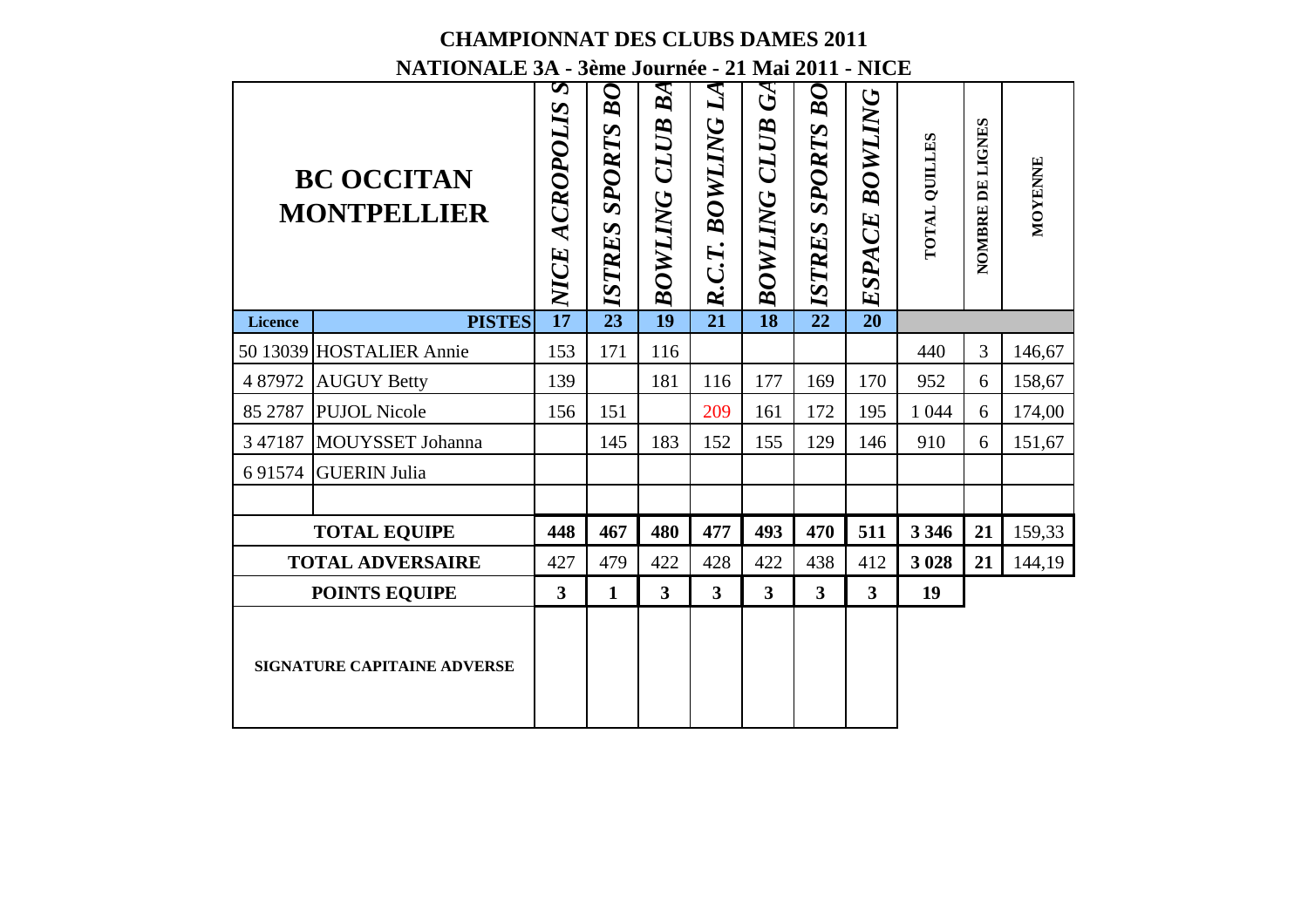| <b>CHAMPIONNAT DES CLUBS DAMES 2011</b><br>NATIONALE 3A - 3ème Journée - 21 Mai 2011 - NICE<br>S<br>$\boldsymbol{M}$<br>${\cal B}O$<br>$\bm{B}$ A<br>$\mathfrak{S}% _{A}^{\ast}(\mathcal{A},\mathcal{A})$<br>B |                                         |                 |                      |                         |                 |                         |                         |                   |                      |                  |         |  |  |
|----------------------------------------------------------------------------------------------------------------------------------------------------------------------------------------------------------------|-----------------------------------------|-----------------|----------------------|-------------------------|-----------------|-------------------------|-------------------------|-------------------|----------------------|------------------|---------|--|--|
|                                                                                                                                                                                                                | <b>BC OCCITAN</b><br><b>MONTPELLIER</b> | NICE ACROPOLIS  | <b>ISTRES SPORTS</b> | <b>BOWLING CLUB</b>     | R.C.T. BOWLING  | <b>BOWLING CLUB</b>     | <b>ELSTRES SPORTS</b>   | BOWLING<br>ESPACE | <b>TOTAL QUILLES</b> | NOMBRE DE LIGNES | MOYENNE |  |  |
| Licence                                                                                                                                                                                                        | <b>PISTES</b>                           | $\overline{17}$ | $\overline{23}$      | $\overline{19}$         | $\overline{21}$ | $\overline{18}$         |                         | $\overline{20}$   |                      |                  |         |  |  |
|                                                                                                                                                                                                                | 50 13039 HOSTALIER Annie                | 153             | 171                  | 116                     |                 |                         |                         |                   | 440                  | 3                | 146,67  |  |  |
| 4 87972                                                                                                                                                                                                        | <b>AUGUY Betty</b>                      | 139             |                      | 181                     | 116             | 177                     | 169                     | 170               | 952                  | 6                | 158,67  |  |  |
| 85 27 87                                                                                                                                                                                                       | <b>PUJOL Nicole</b>                     | 156             | 151                  |                         | 209             | 161                     | 172                     | 195               | 1 0 4 4              | 6                | 174,00  |  |  |
| 3 47187                                                                                                                                                                                                        | MOUYSSET Johanna                        |                 | 145                  | 183                     | 152             | 155                     | 129                     | 146               | 910                  | 6                | 151,67  |  |  |
| 691574                                                                                                                                                                                                         | <b>GUERIN Julia</b>                     |                 |                      |                         |                 |                         |                         |                   |                      |                  |         |  |  |
|                                                                                                                                                                                                                |                                         |                 |                      |                         |                 |                         |                         |                   |                      |                  |         |  |  |
|                                                                                                                                                                                                                | <b>TOTAL EQUIPE</b>                     | 448             | 467                  | 480                     | 477             | 493                     | 470                     | 511               | 3 3 4 6              | 21               | 159,33  |  |  |
|                                                                                                                                                                                                                | <b>TOTAL ADVERSAIRE</b>                 | 427             | 479                  | 422                     | 428             | 422                     | 438                     | 412               | 3 0 28               | 21               | 144,19  |  |  |
|                                                                                                                                                                                                                | <b>POINTS EQUIPE</b>                    | 3               | $\mathbf{1}$         | $\overline{\mathbf{3}}$ | 3               | $\overline{\mathbf{3}}$ | $\overline{\mathbf{3}}$ | 3                 | 19                   |                  |         |  |  |
|                                                                                                                                                                                                                |                                         |                 |                      |                         |                 |                         |                         |                   |                      |                  |         |  |  |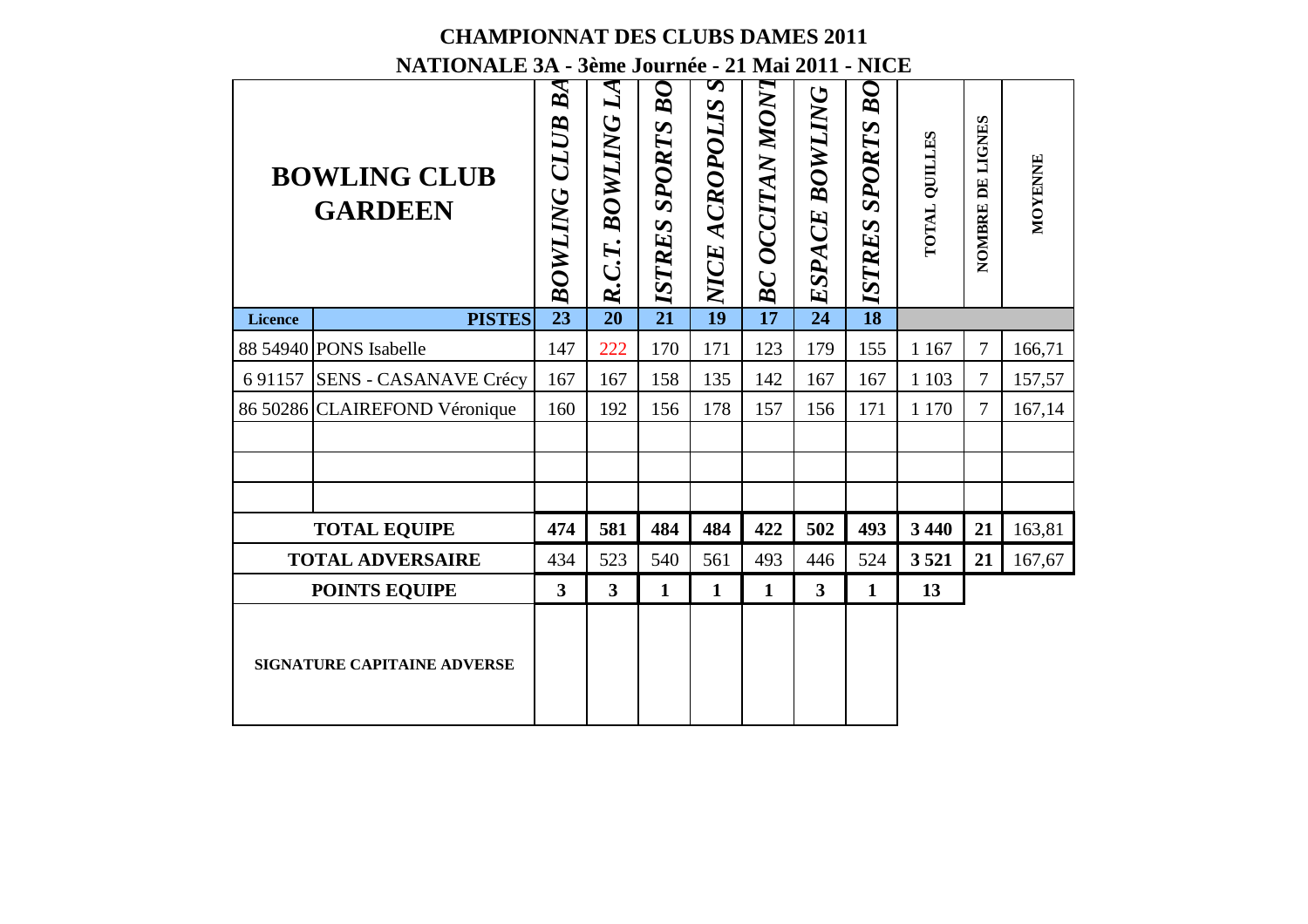#### **CHAMPIONNAT DES CLUBS DAMES 2011NATIONALE 3A - 3ème Journée - 21 Mai 2011 - NICE**

| <b>CHAMPIONNAT DES CLUBS DAMES 2011</b><br>NATIONALE 3A - 3ème Journée - 21 Mai 2011 - NICE<br>S |                                       |                                   |                         |                                   |                 |                            |                 |                              |               |                  |         |  |  |  |
|--------------------------------------------------------------------------------------------------|---------------------------------------|-----------------------------------|-------------------------|-----------------------------------|-----------------|----------------------------|-----------------|------------------------------|---------------|------------------|---------|--|--|--|
|                                                                                                  | <b>BOWLING CLUB</b><br><b>GARDEEN</b> | $\bm{B}$ A<br><b>BOWLING CLUB</b> | R.C.T. BOWLING LA       | $B\overline{O}$<br>PISTRES SPORTS | NICE ACROPOLIS  | $\Xi$ $BC$ $OCITAN$ $MONT$ | ESPACE BOWLING  | ${\cal B}O$<br>ISTRES SPORTS | TOTAL QUILLES | NOMBRE DE LIGNES | MOYENNE |  |  |  |
| Licence                                                                                          | <b>PISTES</b>                         | $\overline{23}$                   | $\overline{20}$         |                                   | $\overline{19}$ |                            | $\overline{24}$ | $\overline{18}$              |               |                  |         |  |  |  |
|                                                                                                  | 88 54940 PONS Isabelle                | 147                               | 222                     | 170                               | 171             | 123                        | 179             | 155                          | 1 1 67        | 7                | 166,71  |  |  |  |
|                                                                                                  | 6 91157 SENS - CASANAVE Crécy         | 167                               | 167                     | 158                               | 135             | 142                        | 167             | 167                          | 1 1 0 3       | $\overline{7}$   | 157,57  |  |  |  |
|                                                                                                  | 86 50286 CLAIREFOND Véronique         | 160                               | 192                     | 156                               | 178             | 157                        | 156             | 171                          | 1 1 7 0       | 7                | 167,14  |  |  |  |
|                                                                                                  |                                       |                                   |                         |                                   |                 |                            |                 |                              |               |                  |         |  |  |  |
|                                                                                                  | <b>TOTAL EQUIPE</b>                   | 474                               | 581                     | 484                               | 484             | 422                        | 502             | 493                          | 3 4 4 0       | 21               | 163,81  |  |  |  |
|                                                                                                  | <b>TOTAL ADVERSAIRE</b>               | 434                               | 523                     | 540                               | 561             | 493                        | 446             | 524                          | 3521          | 21               | 167,67  |  |  |  |
|                                                                                                  | <b>POINTS EQUIPE</b>                  | 3                                 | $\overline{\mathbf{3}}$ | 1                                 | 1               | $\mathbf{1}$               | 3               | 1                            | 13            |                  |         |  |  |  |
|                                                                                                  | <b>SIGNATURE CAPITAINE ADVERSE</b>    |                                   |                         |                                   |                 |                            |                 |                              |               |                  |         |  |  |  |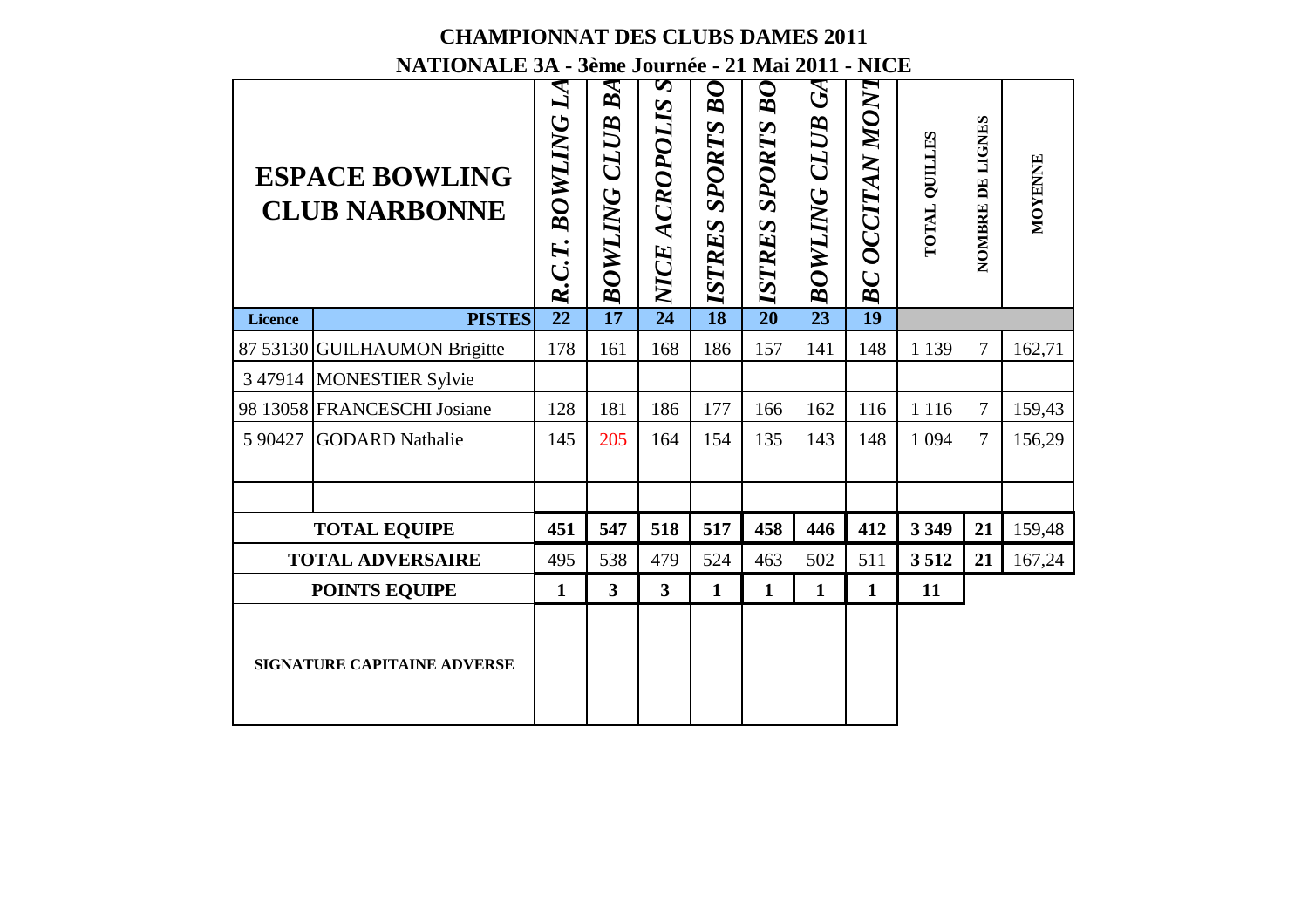|         | <b>CHAMPIONNAT DES CLUBS DAMES 2011</b>                                                           |                 |                           |                         |                                  |                                  |                                                                             |                 |                      |                     |         |
|---------|---------------------------------------------------------------------------------------------------|-----------------|---------------------------|-------------------------|----------------------------------|----------------------------------|-----------------------------------------------------------------------------|-----------------|----------------------|---------------------|---------|
|         | NATIONALE 3A - 3ème Journée - 21 Mai 2011 - NICE<br><b>ESPACE BOWLING</b><br><b>CLUB NARBONNE</b> | R.C.T. BOWLING  | BA<br><b>BOWLING CLUB</b> | S<br>NICE ACROPOLIS     | $\bm{B} \bm{O}$<br>ISTRES SPORTS | $B\overline{O}$<br>ISTRES SPORTS | $\mathfrak{S}% _{A}^{\ast}(\mathcal{A},\mathcal{A})$<br><b>BOWLING CLUB</b> | BC OCCITAN MONT | <b>TOTAL QUILLES</b> | LIGNES<br>NOMBRE DE | MOYENNE |
| Licence | <b>PISTES</b>                                                                                     | $\overline{22}$ | $\overline{17}$           | $\overline{24}$         | $\overline{18}$                  | $\overline{20}$                  | $\overline{23}$                                                             | $\overline{19}$ |                      |                     |         |
|         | 87 53130 GUILHAUMON Brigitte                                                                      | 178             | 161                       | 168                     | 186                              | 157                              | 141                                                                         | 148             | 1 1 3 9              | $\tau$              | 162,71  |
|         | 3 47914 MONESTIER Sylvie                                                                          |                 |                           |                         |                                  |                                  |                                                                             |                 |                      |                     |         |
|         | 98 13058 FRANCESCHI Josiane                                                                       | 128             | 181                       | 186                     | 177                              | 166                              | 162                                                                         | 116             | 1 1 1 6              | $\overline{7}$      | 159,43  |
| 5 90427 | <b>GODARD</b> Nathalie                                                                            | 145             | 205                       | 164                     | 154                              | 135                              | 143                                                                         | 148             | 1 0 9 4              | $\overline{7}$      | 156,29  |
|         |                                                                                                   |                 |                           |                         |                                  |                                  |                                                                             |                 |                      |                     |         |
|         |                                                                                                   |                 |                           |                         |                                  |                                  |                                                                             |                 |                      |                     |         |
|         | <b>TOTAL EQUIPE</b>                                                                               | 451             | 547                       | 518                     | 517                              | 458                              | 446                                                                         | 412             | 3 3 4 9              | 21                  | 159,48  |
|         | <b>TOTAL ADVERSAIRE</b>                                                                           | 495             | 538                       | 479                     | 524                              | 463                              | 502                                                                         | 511             | 3512                 | 21                  | 167,24  |
|         | <b>POINTS EQUIPE</b>                                                                              | $\mathbf{1}$    | $\overline{\mathbf{3}}$   | $\overline{\mathbf{3}}$ | 1                                | $\mathbf{1}$                     | $\mathbf{1}$                                                                | 1               | 11                   |                     |         |
|         | <b>SIGNATURE CAPITAINE ADVERSE</b>                                                                |                 |                           |                         |                                  |                                  |                                                                             |                 |                      |                     |         |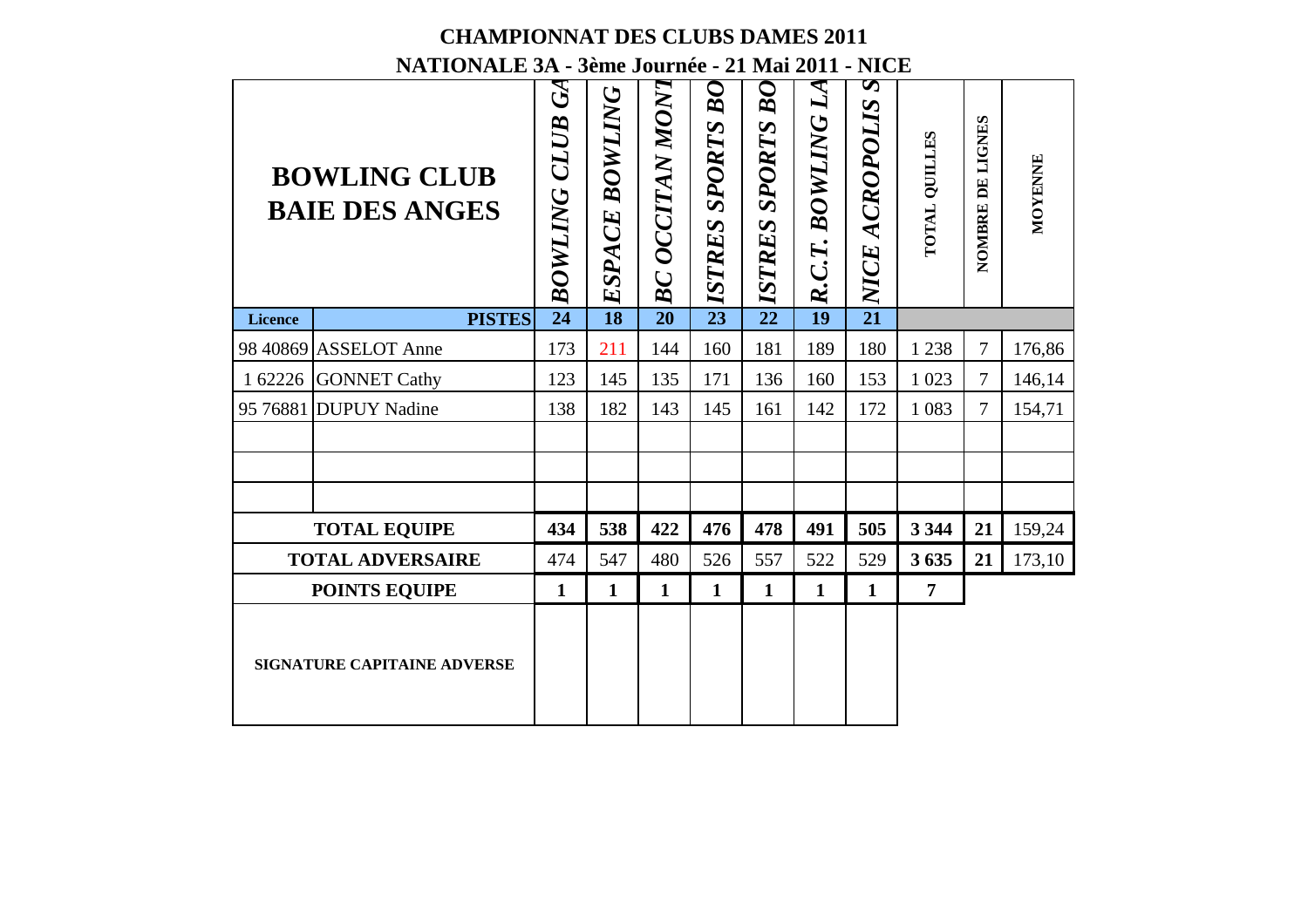|                | <b>CHAMPIONNAT DES CLUBS DAMES 2011</b>                                                          |                                                                             |                 |                 |                              |                     |                         |                     |                      |                  |         |
|----------------|--------------------------------------------------------------------------------------------------|-----------------------------------------------------------------------------|-----------------|-----------------|------------------------------|---------------------|-------------------------|---------------------|----------------------|------------------|---------|
|                | NATIONALE 3A - 3ème Journée - 21 Mai 2011 - NICE<br><b>BOWLING CLUB</b><br><b>BAIE DES ANGES</b> | $\mathfrak{S}% _{A}^{\ast}(\mathcal{A},\mathcal{A})$<br><b>BOWLING CLUB</b> | ESPACE BOWLING  | BC OCCITAN MONT | ${\cal B}O$<br>ISTRES SPORTS | BO<br>ISTRES SPORTS | $L\!$<br>R.C.T. BOWLING | S<br>NICE ACROPOLIS | <b>POTAL QUILLES</b> | NOMBRE DE LIGNES | MOYENNE |
| <b>Licence</b> | <b>PISTES</b>                                                                                    | $\overline{24}$                                                             | $\overline{18}$ | $\overline{20}$ | $\overline{23}$              | $\overline{22}$     | $\overline{19}$         | $\overline{21}$     |                      |                  |         |
|                | 98 40869 ASSELOT Anne                                                                            | 173                                                                         | 211             | 144             | 160                          | 181                 | 189                     | 180                 | 1 2 3 8              | 7                | 176,86  |
| 1 62226        | <b>GONNET Cathy</b>                                                                              | 123                                                                         | 145             | 135             | 171                          | 136                 | 160                     | 153                 | 1 0 23               | $\overline{7}$   | 146,14  |
| 95 76881       | <b>DUPUY Nadine</b>                                                                              | 138                                                                         | 182             | 143             | 145                          | 161                 | 142                     | 172                 | 1 0 8 3              | 7                | 154,71  |
|                |                                                                                                  |                                                                             |                 |                 |                              |                     |                         |                     |                      |                  |         |
|                | <b>TOTAL EQUIPE</b>                                                                              | 434                                                                         | 538             | 422             | 476                          | 478                 | 491                     | 505                 | 3 3 4 4              | 21               | 159,24  |
|                | <b>TOTAL ADVERSAIRE</b>                                                                          | 474                                                                         | 547             | 480             | 526                          | 557                 | 522                     | 529                 | 3635                 | 21               | 173,10  |
|                | <b>POINTS EQUIPE</b>                                                                             | 1                                                                           | 1               | $\mathbf{1}$    | $\mathbf{1}$                 | $\mathbf{1}$        | $\mathbf{1}$            | $\mathbf{1}$        | 7                    |                  |         |
|                | <b>SIGNATURE CAPITAINE ADVERSE</b>                                                               |                                                                             |                 |                 |                              |                     |                         |                     |                      |                  |         |